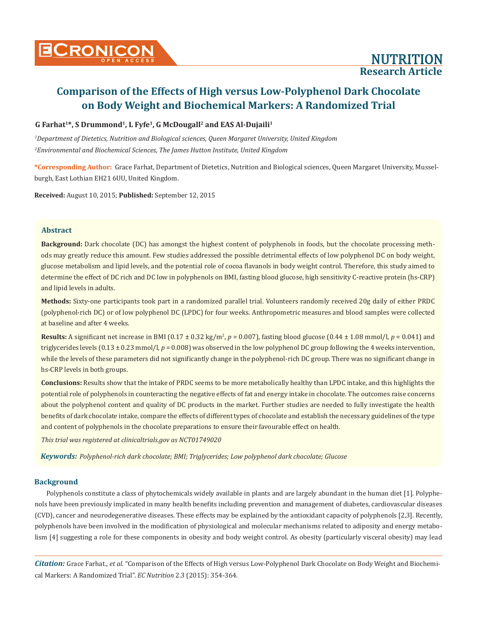### **G Farhat1\*, S Drummond1, L Fyfe1, G McDougall2 and EAS Al-Dujaili1**

*1 Department of Dietetics, Nutrition and Biological sciences, Queen Margaret University, United Kingdom 2 Environmental and Biochemical Sciences, The James Hutton Institute, United Kingdom*

**\*Corresponding Author:** Grace Farhat, Department of Dietetics, Nutrition and Biological sciences, Queen Margaret University, Musselburgh, East Lothian EH21 6UU, United Kingdom.

**Received:** August 10, 2015; **Published:** September 12, 2015

#### **Abstract**

**Background:** Dark chocolate (DC) has amongst the highest content of polyphenols in foods, but the chocolate processing methods may greatly reduce this amount. Few studies addressed the possible detrimental effects of low polyphenol DC on body weight, glucose metabolism and lipid levels, and the potential role of cocoa flavanols in body weight control. Therefore, this study aimed to determine the effect of DC rich and DC low in polyphenols on BMI, fasting blood glucose, high sensitivity C-reactive protein (hs-CRP) and lipid levels in adults.

**Methods:** Sixty-one participants took part in a randomized parallel trial. Volunteers randomly received 20g daily of either PRDC (polyphenol-rich DC) or of low polyphenol DC (LPDC) for four weeks. Anthropometric measures and blood samples were collected at baseline and after 4 weeks.

**Results:** A significant net increase in BMI (0.17 ± 0.32 kg/m<sup>2</sup>, *p* = 0.007), fasting blood glucose (0.44 ± 1.08 mmol/l, *p* = 0.041) and triglycerides levels  $(0.13 \pm 0.23 \text{ mmol/l}, p = 0.008)$  was observed in the low polyphenol DC group following the 4 weeks intervention, while the levels of these parameters did not significantly change in the polyphenol-rich DC group. There was no significant change in hs-CRP levels in both groups.

**Conclusions:** Results show that the intake of PRDC seems to be more metabolically healthy than LPDC intake, and this highlights the potential role of polyphenols in counteracting the negative effects of fat and energy intake in chocolate. The outcomes raise concerns about the polyphenol content and quality of DC products in the market. Further studies are needed to fully investigate the health benefits of dark chocolate intake, compare the effects of different types of chocolate and establish the necessary guidelines of the type and content of polyphenols in the chocolate preparations to ensure their favourable effect on health.

*This trial was registered at clinicaltrials.gov as NCT01749020*

*Keywords: Polyphenol-rich dark chocolate; BMI; Triglycerides; Low polyphenol dark chocolate; Glucose*

#### **Background**

Polyphenols constitute a class of phytochemicals widely available in plants and are largely abundant in the human diet [1]. Polyphenols have been previously implicated in many health benefits including prevention and management of diabetes, cardiovascular diseases (CVD), cancer and neurodegenerative diseases. These effects may be explained by the antioxidant capacity of polyphenols [2,3]. Recently, polyphenols have been involved in the modification of physiological and molecular mechanisms related to adiposity and energy metabolism [4] suggesting a role for these components in obesity and body weight control. As obesity (particularly visceral obesity) may lead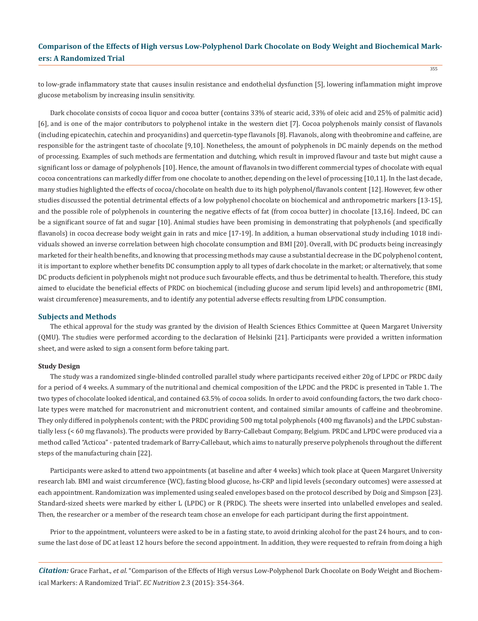to low-grade inflammatory state that causes insulin resistance and endothelial dysfunction [5], lowering inflammation might improve glucose metabolism by increasing insulin sensitivity.

Dark chocolate consists of cocoa liquor and cocoa butter (contains 33% of stearic acid, 33% of oleic acid and 25% of palmitic acid) [6], and is one of the major contributors to polyphenol intake in the western diet [7]. Cocoa polyphenols mainly consist of flavanols (including epicatechin, catechin and procyanidins) and quercetin-type flavanols [8]. Flavanols, along with theobromine and caffeine, are responsible for the astringent taste of chocolate [9,10]. Nonetheless, the amount of polyphenols in DC mainly depends on the method of processing. Examples of such methods are fermentation and dutching, which result in improved flavour and taste but might cause a significant loss or damage of polyphenols [10]. Hence, the amount of flavanols in two different commercial types of chocolate with equal cocoa concentrations can markedly differ from one chocolate to another, depending on the level of processing [10,11]. In the last decade, many studies highlighted the effects of cocoa/chocolate on health due to its high polyphenol/flavanols content [12]. However, few other studies discussed the potential detrimental effects of a low polyphenol chocolate on biochemical and anthropometric markers [13-15], and the possible role of polyphenols in countering the negative effects of fat (from cocoa butter) in chocolate [13,16]. Indeed, DC can be a significant source of fat and sugar [10]. Animal studies have been promising in demonstrating that polyphenols (and specifically flavanols) in cocoa decrease body weight gain in rats and mice [17-19]. In addition, a human observational study including 1018 individuals showed an inverse correlation between high chocolate consumption and BMI [20]. Overall, with DC products being increasingly marketed for their health benefits, and knowing that processing methods may cause a substantial decrease in the DC polyphenol content, it is important to explore whether benefits DC consumption apply to all types of dark chocolate in the market; or alternatively, that some DC products deficient in polyphenols might not produce such favourable effects, and thus be detrimental to health. Therefore, this study aimed to elucidate the beneficial effects of PRDC on biochemical (including glucose and serum lipid levels) and anthropometric (BMI, waist circumference) measurements, and to identify any potential adverse effects resulting from LPDC consumption.

#### **Subjects and Methods**

The ethical approval for the study was granted by the division of Health Sciences Ethics Committee at Queen Margaret University (QMU). The studies were performed according to the declaration of Helsinki [21]. Participants were provided a written information sheet, and were asked to sign a consent form before taking part.

#### **Study Design**

The study was a randomized single-blinded controlled parallel study where participants received either 20g of LPDC or PRDC daily for a period of 4 weeks. A summary of the nutritional and chemical composition of the LPDC and the PRDC is presented in Table 1. The two types of chocolate looked identical, and contained 63.5% of cocoa solids. In order to avoid confounding factors, the two dark chocolate types were matched for macronutrient and micronutrient content, and contained similar amounts of caffeine and theobromine. They only differed in polyphenols content; with the PRDC providing 500 mg total polyphenols (400 mg flavanols) and the LPDC substantially less (< 60 mg flavanols). The products were provided by Barry-Callebaut Company, Belgium. PRDC and LPDC were produced via a method called "Acticoa" - patented trademark of Barry-Callebaut, which aims to naturally preserve polyphenols throughout the different steps of the manufacturing chain [22].

Participants were asked to attend two appointments (at baseline and after 4 weeks) which took place at Queen Margaret University research lab. BMI and waist circumference (WC), fasting blood glucose, hs-CRP and lipid levels (secondary outcomes) were assessed at each appointment. Randomization was implemented using sealed envelopes based on the protocol described by Doig and Simpson [23]. Standard-sized sheets were marked by either L (LPDC) or R (PRDC). The sheets were inserted into unlabelled envelopes and sealed. Then, the researcher or a member of the research team chose an envelope for each participant during the first appointment.

Prior to the appointment, volunteers were asked to be in a fasting state, to avoid drinking alcohol for the past 24 hours, and to consume the last dose of DC at least 12 hours before the second appointment. In addition, they were requested to refrain from doing a high

*Citation:* Grace Farhat., *et al*. "Comparison of the Effects of High versus Low-Polyphenol Dark Chocolate on Body Weight and Biochemical Markers: A Randomized Trial". *EC Nutrition* 2.3 (2015): 354-364.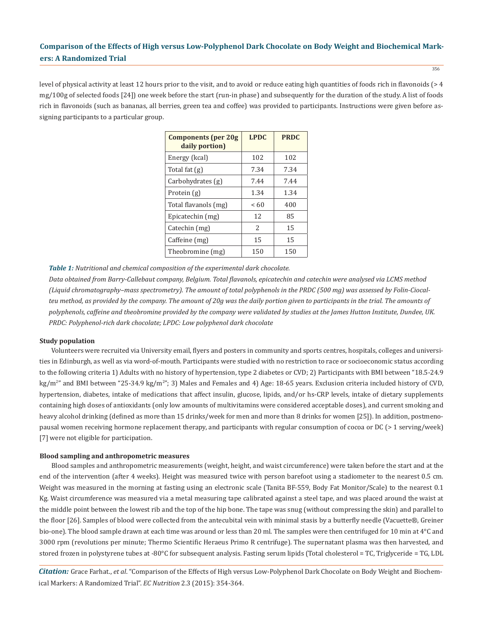level of physical activity at least 12 hours prior to the visit, and to avoid or reduce eating high quantities of foods rich in flavonoids ( $>4$ mg/100g of selected foods [24]) one week before the start (run-in phase) and subsequently for the duration of the study. A list of foods rich in flavonoids (such as bananas, all berries, green tea and coffee) was provided to participants. Instructions were given before assigning participants to a particular group.

| <b>Components (per 20g)</b><br>daily portion) | <b>LPDC</b>   | <b>PRDC</b> |
|-----------------------------------------------|---------------|-------------|
| Energy (kcal)                                 | 102           | 102         |
| Total fat (g)                                 | 7.34          | 7.34        |
| Carbohydrates (g)                             | 7.44          | 7.44        |
| Protein (g)                                   | 1.34          | 1.34        |
| Total flavanols (mg)                          | <60           | 400         |
| Epicatechin (mg)                              | 12            | 85          |
| Catechin (mg)                                 | $\mathcal{L}$ | 15          |
| Caffeine (mg)                                 | 15            | 15          |
| Theobromine (mg)                              | 150           | 150         |

*Table 1: Nutritional and chemical composition of the experimental dark chocolate.*

*Data obtained from Barry-Callebaut company, Belgium. Total flavanols, epicatechin and catechin were analysed via LCMS method (Liquid chromatography–mass spectrometry). The amount of total polyphenols in the PRDC (500 mg) was assessed by Folin-Ciocalteu method, as provided by the company. The amount of 20g was the daily portion given to participants in the trial. The amounts of polyphenols, caffeine and theobromine provided by the company were validated by studies at the James Hutton Institute, Dundee, UK. PRDC: Polyphenol-rich dark chocolate; LPDC: Low polyphenol dark chocolate*

#### **Study population**

Volunteers were recruited via University email, flyers and posters in community and sports centres, hospitals, colleges and universities in Edinburgh, as well as via word-of-mouth. Participants were studied with no restriction to race or socioeconomic status according to the following criteria 1) Adults with no history of hypertension, type 2 diabetes or CVD; 2) Participants with BMI between "18.5-24.9 kg/m<sup>2</sup>" and BMI between "25-34.9 kg/m<sup>2</sup>"; 3) Males and Females and 4) Age: 18-65 years. Exclusion criteria included history of CVD, hypertension, diabetes, intake of medications that affect insulin, glucose, lipids, and/or hs-CRP levels, intake of dietary supplements containing high doses of antioxidants (only low amounts of multivitamins were considered acceptable doses), and current smoking and heavy alcohol drinking (defined as more than 15 drinks/week for men and more than 8 drinks for women [25]). In addition, postmenopausal women receiving hormone replacement therapy, and participants with regular consumption of cocoa or DC (> 1 serving/week) [7] were not eligible for participation.

#### **Blood sampling and anthropometric measures**

Blood samples and anthropometric measurements (weight, height, and waist circumference) were taken before the start and at the end of the intervention (after 4 weeks). Height was measured twice with person barefoot using a stadiometer to the nearest 0.5 cm. Weight was measured in the morning at fasting using an electronic scale (Tanita BF-559, Body Fat Monitor/Scale) to the nearest 0.1 Kg. Waist circumference was measured via a metal measuring tape calibrated against a steel tape, and was placed around the waist at the middle point between the lowest rib and the top of the hip bone. The tape was snug (without compressing the skin) and parallel to the floor [26]. Samples of blood were collected from the antecubital vein with minimal stasis by a butterfly needle (Vacuette®, Greiner bio-one). The blood sample drawn at each time was around or less than 20 ml. The samples were then centrifuged for 10 min at 4°C and 3000 rpm (revolutions per minute; Thermo Scientific Heraeus Primo R centrifuge). The supernatant plasma was then harvested, and stored frozen in polystyrene tubes at -80°C for subsequent analysis. Fasting serum lipids (Total cholesterol = TC, Triglyceride = TG, LDL

*Citation:* Grace Farhat., *et al*. "Comparison of the Effects of High versus Low-Polyphenol Dark Chocolate on Body Weight and Biochemical Markers: A Randomized Trial". *EC Nutrition* 2.3 (2015): 354-364.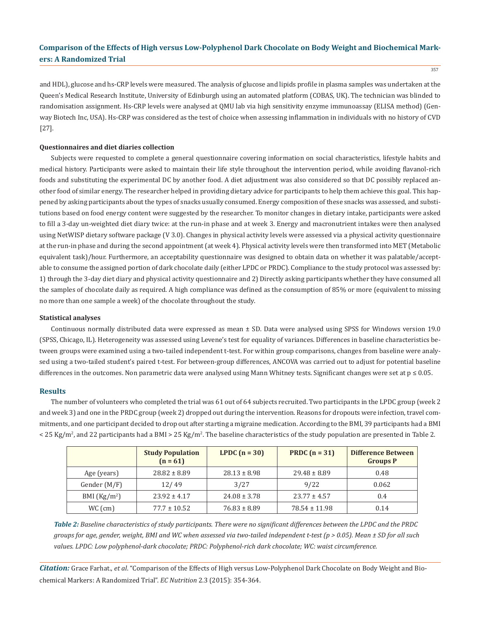357

and HDL), glucose and hs-CRP levels were measured. The analysis of glucose and lipids profile in plasma samples was undertaken at the Queen's Medical Research Institute, University of Edinburgh using an automated platform (COBAS, UK). The technician was blinded to randomisation assignment. Hs-CRP levels were analysed at QMU lab via high sensitivity enzyme immunoassay (ELISA method) (Genway Biotech Inc, USA). Hs-CRP was considered as the test of choice when assessing inflammation in individuals with no history of CVD [27].

#### **Questionnaires and diet diaries collection**

Subjects were requested to complete a general questionnaire covering information on social characteristics, lifestyle habits and medical history. Participants were asked to maintain their life style throughout the intervention period, while avoiding flavanol-rich foods and substituting the experimental DC by another food. A diet adjustment was also considered so that DC possibly replaced another food of similar energy. The researcher helped in providing dietary advice for participants to help them achieve this goal. This happened by asking participants about the types of snacks usually consumed. Energy composition of these snacks was assessed, and substitutions based on food energy content were suggested by the researcher. To monitor changes in dietary intake, participants were asked to fill a 3-day un-weighted diet diary twice: at the run-in phase and at week 3. Energy and macronutrient intakes were then analysed using NetWISP dietary software package (V 3.0). Changes in physical activity levels were assessed via a physical activity questionnaire at the run-in phase and during the second appointment (at week 4). Physical activity levels were then transformed into MET (Metabolic equivalent task)/hour. Furthermore, an acceptability questionnaire was designed to obtain data on whether it was palatable/acceptable to consume the assigned portion of dark chocolate daily (either LPDC or PRDC). Compliance to the study protocol was assessed by: 1) through the 3-day diet diary and physical activity questionnaire and 2) Directly asking participants whether they have consumed all the samples of chocolate daily as required. A high compliance was defined as the consumption of 85% or more (equivalent to missing no more than one sample a week) of the chocolate throughout the study.

#### **Statistical analyses**

Continuous normally distributed data were expressed as mean ± SD. Data were analysed using SPSS for Windows version 19.0 (SPSS, Chicago, IL). Heterogeneity was assessed using Levene's test for equality of variances. Differences in baseline characteristics between groups were examined using a two-tailed independent t-test. For within group comparisons, changes from baseline were analysed using a two-tailed student's paired t-test. For between-group differences, ANCOVA was carried out to adjust for potential baseline differences in the outcomes. Non parametric data were analysed using Mann Whitney tests. Significant changes were set at  $p \leq 0.05$ .

#### **Results**

The number of volunteers who completed the trial was 61 out of 64 subjects recruited. Two participants in the LPDC group (week 2 and week 3) and one in the PRDC group (week 2) dropped out during the intervention. Reasons for dropouts were infection, travel commitments, and one participant decided to drop out after starting a migraine medication. According to the BMI, 39 participants had a BMI  $<$  25 Kg/m<sup>2</sup>, and 22 participants had a BMI > 25 Kg/m<sup>2</sup>. The baseline characteristics of the study population are presented in Table 2.

|                | <b>Study Population</b><br>$(n = 61)$ | LPDC $(n = 30)$  | PRDC $(n = 31)$   | <b>Difference Between</b><br><b>Groups P</b> |
|----------------|---------------------------------------|------------------|-------------------|----------------------------------------------|
| Age (years)    | $28.82 \pm 8.89$                      | $28.13 \pm 8.98$ | $29.48 \pm 8.89$  | 0.48                                         |
| Gender $(M/F)$ | 12/49                                 | 3/27             | 9/22              | 0.062                                        |
| BMI $(Kg/m2)$  | $23.92 \pm 4.17$                      | $24.08 \pm 3.78$ | $23.77 \pm 4.57$  | 0.4                                          |
| $WC$ (cm)      | $77.7 \pm 10.52$                      | $76.83 \pm 8.89$ | $78.54 \pm 11.98$ | 0.14                                         |

*Table 2: Baseline characteristics of study participants. There were no significant differences between the LPDC and the PRDC groups for age, gender, weight, BMI and WC when assessed via two-tailed independent t-test (p > 0.05). Mean ± SD for all such values. LPDC: Low polyphenol-dark chocolate; PRDC: Polyphenol-rich dark chocolate; WC: waist circumference.*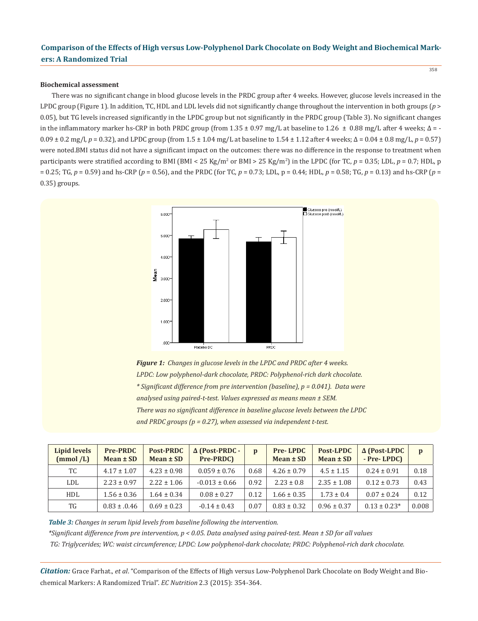#### **Biochemical assessment**

There was no significant change in blood glucose levels in the PRDC group after 4 weeks. However, glucose levels increased in the LPDC group (Figure 1). In addition, TC, HDL and LDL levels did not significantly change throughout the intervention in both groups (*p* > 0.05), but TG levels increased significantly in the LPDC group but not significantly in the PRDC group (Table 3). No significant changes in the inflammatory marker hs-CRP in both PRDC group (from  $1.35 \pm 0.97$  mg/L at baseline to  $1.26 \pm 0.88$  mg/L after 4 weeks;  $\Delta$  = -0.09 ± 0.2 mg/l, *p* = 0.32), and LPDC group (from 1.5 ± 1.04 mg/L at baseline to 1.54 ± 1.12 after 4 weeks; ∆ = 0.04 ± 0.8 mg/L, *p* = 0.57) were noted.BMI status did not have a significant impact on the outcomes: there was no difference in the response to treatment when participants were stratified according to BMI (BMI < 25 Kg/m<sup>2</sup> or BMI > 25 Kg/m<sup>2</sup>) in the LPDC (for TC, *p* = 0.35; LDL, *p* = 0.7; HDL, p = 0.25; TG, *p* = 0.59) and hs-CRP (*p* = 0.56), and the PRDC (for TC, *p* = 0.73; LDL, p = 0.44; HDL, *p* = 0.58; TG, *p* = 0.13) and hs-CRP (*p* = 0.35) groups.



*Figure 1: Changes in glucose levels in the LPDC and PRDC after 4 weeks. LPDC: Low polyphenol-dark chocolate, PRDC: Polyphenol-rich dark chocolate. \* Significant difference from pre intervention (baseline), p = 0.041). Data were analysed using paired-t-test. Values expressed as means mean ± SEM. There was no significant difference in baseline glucose levels between the LPDC and PRDC groups (p = 0.27), when assessed via independent t-test.*

| Lipid levels<br>(mmol/L) | <b>Pre-PRDC</b><br>$Mean \pm SD$ | <b>Post-PRDC</b><br>Mean $\pm$ SD | $\Delta$ (Post-PRDC -<br>Pre-PRDC) | p    | <b>Pre-LPDC</b><br>$Mean \pm SD$ | Post-LPDC<br>$Mean \pm SD$ | $\Delta$ (Post-LPDC<br>- Pre-LPDC) | p     |
|--------------------------|----------------------------------|-----------------------------------|------------------------------------|------|----------------------------------|----------------------------|------------------------------------|-------|
| TC                       | $4.17 \pm 1.07$                  | $4.23 \pm 0.98$                   | $0.059 \pm 0.76$                   | 0.68 | $4.26 \pm 0.79$                  | $4.5 \pm 1.15$             | $0.24 \pm 0.91$                    | 0.18  |
| LDL                      | $2.23 \pm 0.97$                  | $2.22 \pm 1.06$                   | $-0.013 \pm 0.66$                  | 0.92 | $2.23 \pm 0.8$                   | $2.35 \pm 1.08$            | $0.12 \pm 0.73$                    | 0.43  |
| <b>HDL</b>               | $1.56 \pm 0.36$                  | $1.64 \pm 0.34$                   | $0.08 \pm 0.27$                    | 0.12 | $1.66 \pm 0.35$                  | $1.73 \pm 0.4$             | $0.07 \pm 0.24$                    | 0.12  |
| TG                       | $0.83 \pm 0.46$                  | $0.69 \pm 0.23$                   | $-0.14 \pm 0.43$                   | 0.07 | $0.83 \pm 0.32$                  | $0.96 \pm 0.37$            | $0.13 \pm 0.23*$                   | 0.008 |

*Table 3: Changes in serum lipid levels from baseline following the intervention.*

*\*Significant difference from pre intervention, p < 0.05. Data analysed using paired-test. Mean ± SD for all values*

 *TG: Triglycerides; WC: waist circumference; LPDC: Low polyphenol-dark chocolate; PRDC: Polyphenol-rich dark chocolate.* 

*Citation:* Grace Farhat., *et al*. "Comparison of the Effects of High versus Low-Polyphenol Dark Chocolate on Body Weight and Biochemical Markers: A Randomized Trial". *EC Nutrition* 2.3 (2015): 354-364.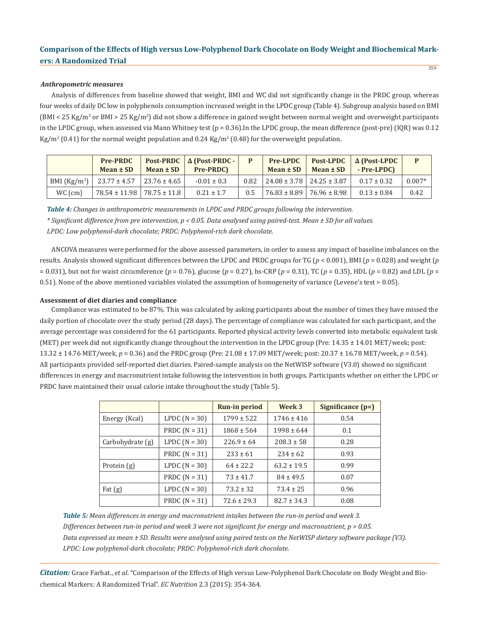#### *Anthropometric measures*

Analysis of differences from baseline showed that weight, BMI and WC did not significantly change in the PRDC group, whereas four weeks of daily DC low in polyphenols consumption increased weight in the LPDC group (Table 4). Subgroup analysis based on BMI (BMI < 25 Kg/m² or BMI > 25 Kg/m²) did not show a difference in gained weight between normal weight and overweight participants in the LPDC group, when assessed via Mann Whitney test ( $p = 0.36$ ). In the LPDC group, the mean difference (post-pre) (IQR) was 0.12 Kg/m<sup>2</sup> (0.41) for the normal weight population and 0.24 Kg/m<sup>2</sup> (0.48) for the overweight population.

|               | <b>Pre-PRDC</b><br>$Mean \pm SD$     | Mean $\pm$ SD $\parallel$ | <b>Post-PRDC</b> $\Delta$ (Post-PRDC -<br><b>Pre-PRDC)</b> |      | Pre-LPDC<br>Mean $\pm$ SD |                                      | <b>Post-LPDC</b> $\Delta$ (Post-LPDC<br>$Mean \pm SD$ - Pre-LPDC) |          |
|---------------|--------------------------------------|---------------------------|------------------------------------------------------------|------|---------------------------|--------------------------------------|-------------------------------------------------------------------|----------|
| BMI $(Kg/m2)$ | $23.77 \pm 4.57$   23.76 $\pm$ 4.65  |                           | $-0.01 \pm 0.3$                                            | 0.82 |                           | $24.08 \pm 3.78$   24.25 $\pm$ 3.87  | $0.17 \pm 0.32$                                                   | $0.007*$ |
| WC (cm)       | $78.54 \pm 11.98$   78.75 $\pm$ 11.8 |                           | $0.21 \pm 1.7$                                             | 0.5  |                           | $176.83 \pm 8.89$   $76.96 \pm 8.98$ | $0.13 \pm 0.84$                                                   | 0.42     |

*Table 4: Changes in anthropometric measurements in LPDC and PRDC groups following the intervention. \* Significant difference from pre intervention, p < 0.05. Data analysed using paired-test. Mean ± SD for all values. LPDC: Low polyphenol-dark chocolate; PRDC: Polyphenol-rich dark chocolate.*

ANCOVA measures were performed for the above assessed parameters, in order to assess any impact of baseline imbalances on the results. Analysis showed significant differences between the LPDC and PRDC groups for TG (*p* < 0.001), BMI (*p* = 0.028) and weight (*p*  = 0.031), but not for waist circumference (*p* = 0.76), glucose (*p* = 0.27), hs-CRP (*p* = 0.31), TC (*p* = 0.35), HDL (*p* = 0.82) and LDL (*p* = 0.51). None of the above mentioned variables violated the assumption of homogeneity of variance (Levene's test > 0.05).

#### **Assessment of diet diaries and compliance**

Compliance was estimated to be 87%. This was calculated by asking participants about the number of times they have missed the daily portion of chocolate over the study period (28 days). The percentage of compliance was calculated for each participant, and the average percentage was considered for the 61 participants. Reported physical activity levels converted into metabolic equivalent task (MET) per week did not significantly change throughout the intervention in the LPDC group (Pre: 14.35 ± 14.01 MET/week; post: 13.32 ± 14.76 MET/week, *p* = 0.36) and the PRDC group (Pre: 21.08 ± 17.09 MET/week; post: 20.37 ± 16.78 MET/week, *p* = 0.54). All participants provided self-reported diet diaries. Paired-sample analysis on the NetWISP software (V3.0) showed no significant differences in energy and macronutrient intake following the intervention in both groups. Participants whether on either the LPDC or PRDC have maintained their usual calorie intake throughout the study (Table 5).

|                  |                 | <b>Run-in period</b> | Week 3          | Significance $(p=)$ |
|------------------|-----------------|----------------------|-----------------|---------------------|
| Energy (Kcal)    | LPDC $(N = 30)$ | $1799 \pm 522$       | $1746 \pm 416$  | 0.54                |
|                  | PRDC $(N = 31)$ | $1868 \pm 564$       | $1998 \pm 644$  | 0.1                 |
| Carbohydrate (g) | LPDC $(N = 30)$ | $226.9 \pm 64$       | $208.3 \pm 58$  | 0.28                |
|                  | PRDC $(N = 31)$ | $233 \pm 61$         | $234 \pm 62$    | 0.93                |
| Protein $(g)$    | LPDC $(N = 30)$ | $64 \pm 22.2$        | $63.2 \pm 19.5$ | 0.99                |
|                  | PRDC $(N = 31)$ | $73 \pm 41.7$        | $84 \pm 49.5$   | 0.07                |
| Fat $(g)$        | LPDC $(N = 30)$ | $73.2 \pm 32$        | $73.4 \pm 25$   | 0.96                |
|                  | PRDC $(N = 31)$ | $72.6 \pm 29.3$      | $82.7 \pm 34.3$ | 0.08                |

*Table 5: Mean differences in energy and macronutrient intakes between the run-in period and week 3. Differences between run-in period and week 3 were not significant for energy and macronutrient, p > 0.05. Data expressed as mean ± SD. Results were analysed using paired tests on the NetWISP dietary software package (V3). LPDC: Low polyphenol-dark chocolate; PRDC: Polyphenol-rich dark chocolate.*

*Citation:* Grace Farhat., *et al*. "Comparison of the Effects of High versus Low-Polyphenol Dark Chocolate on Body Weight and Biochemical Markers: A Randomized Trial". *EC Nutrition* 2.3 (2015): 354-364.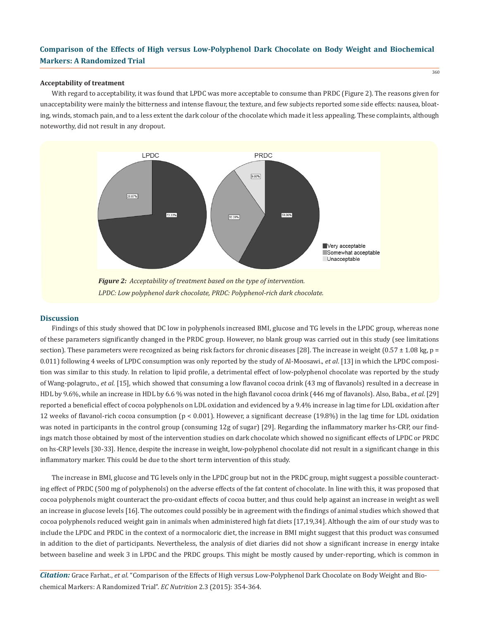### **Acceptability of treatment**

With regard to acceptability, it was found that LPDC was more acceptable to consume than PRDC (Figure 2). The reasons given for unacceptability were mainly the bitterness and intense flavour, the texture, and few subjects reported some side effects: nausea, bloating, winds, stomach pain, and to a less extent the dark colour of the chocolate which made it less appealing. These complaints, although noteworthy, did not result in any dropout.



#### **Discussion**

Findings of this study showed that DC low in polyphenols increased BMI, glucose and TG levels in the LPDC group, whereas none of these parameters significantly changed in the PRDC group. However, no blank group was carried out in this study (see limitations section). These parameters were recognized as being risk factors for chronic diseases [28]. The increase in weight  $(0.57 \pm 1.08 \text{ kg}, \text{p} =$ 0.011) following 4 weeks of LPDC consumption was only reported by the study of Al-Moosawi., *et al*. [13] in which the LPDC composition was similar to this study. In relation to lipid profile, a detrimental effect of low-polyphenol chocolate was reported by the study of Wang-polagruto., *et al*. [15], which showed that consuming a low flavanol cocoa drink (43 mg of flavanols) resulted in a decrease in HDL by 9.6%, while an increase in HDL by 6.6 % was noted in the high flavanol cocoa drink (446 mg of flavanols). Also, Baba., *et al*. [29] reported a beneficial effect of cocoa polyphenols on LDL oxidation and evidenced by a 9.4% increase in lag time for LDL oxidation after 12 weeks of flavanol-rich cocoa consumption (p < 0.001). However, a significant decrease (19.8%) in the lag time for LDL oxidation was noted in participants in the control group (consuming 12g of sugar) [29]. Regarding the inflammatory marker hs-CRP, our findings match those obtained by most of the intervention studies on dark chocolate which showed no significant effects of LPDC or PRDC on hs-CRP levels [30-33]. Hence, despite the increase in weight, low-polyphenol chocolate did not result in a significant change in this inflammatory marker. This could be due to the short term intervention of this study.

The increase in BMI, glucose and TG levels only in the LPDC group but not in the PRDC group, might suggest a possible counteracting effect of PRDC (500 mg of polyphenols) on the adverse effects of the fat content of chocolate. In line with this, it was proposed that cocoa polyphenols might counteract the pro-oxidant effects of cocoa butter, and thus could help against an increase in weight as well an increase in glucose levels [16]. The outcomes could possibly be in agreement with the findings of animal studies which showed that cocoa polyphenols reduced weight gain in animals when administered high fat diets [17,19,34]. Although the aim of our study was to include the LPDC and PRDC in the context of a normocaloric diet, the increase in BMI might suggest that this product was consumed in addition to the diet of participants. Nevertheless, the analysis of diet diaries did not show a significant increase in energy intake between baseline and week 3 in LPDC and the PRDC groups. This might be mostly caused by under-reporting, which is common in

*Citation:* Grace Farhat., *et al*. "Comparison of the Effects of High versus Low-Polyphenol Dark Chocolate on Body Weight and Biochemical Markers: A Randomized Trial". *EC Nutrition* 2.3 (2015): 354-364.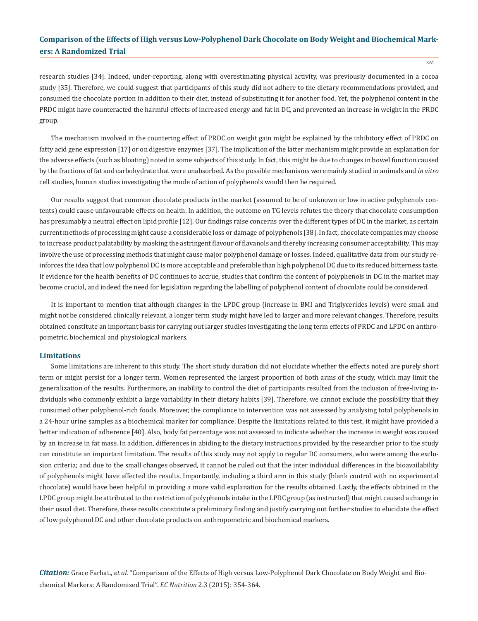research studies [34]. Indeed, under-reporting, along with overestimating physical activity, was previously documented in a cocoa study [35]. Therefore, we could suggest that participants of this study did not adhere to the dietary recommendations provided, and consumed the chocolate portion in addition to their diet, instead of substituting it for another food. Yet, the polyphenol content in the PRDC might have counteracted the harmful effects of increased energy and fat in DC, and prevented an increase in weight in the PRDC group.

The mechanism involved in the countering effect of PRDC on weight gain might be explained by the inhibitory effect of PRDC on fatty acid gene expression [17] or on digestive enzymes [37]. The implication of the latter mechanism might provide an explanation for the adverse effects (such as bloating) noted in some subjects of this study. In fact, this might be due to changes in bowel function caused by the fractions of fat and carbohydrate that were unabsorbed. As the possible mechanisms were mainly studied in animals and *in vitro*  cell studies, human studies investigating the mode of action of polyphenols would then be required.

Our results suggest that common chocolate products in the market (assumed to be of unknown or low in active polyphenols contents) could cause unfavourable effects on health. In addition, the outcome on TG levels refutes the theory that chocolate consumption has presumably a neutral effect on lipid profile [12]. Our findings raise concerns over the different types of DC in the market, as certain current methods of processing might cause a considerable loss or damage of polyphenols [38]. In fact, chocolate companies may choose to increase product palatability by masking the astringent flavour of flavanols and thereby increasing consumer acceptability. This may involve the use of processing methods that might cause major polyphenol damage or losses. Indeed, qualitative data from our study reinforces the idea that low polyphenol DC is more acceptable and preferable than high polyphenol DC due to its reduced bitterness taste. If evidence for the health benefits of DC continues to accrue, studies that confirm the content of polyphenols in DC in the market may become crucial, and indeed the need for legislation regarding the labelling of polyphenol content of chocolate could be considered.

It is important to mention that although changes in the LPDC group (increase in BMI and Triglycerides levels) were small and might not be considered clinically relevant, a longer term study might have led to larger and more relevant changes. Therefore, results obtained constitute an important basis for carrying out larger studies investigating the long term effects of PRDC and LPDC on anthropometric, biochemical and physiological markers.

#### **Limitations**

Some limitations are inherent to this study. The short study duration did not elucidate whether the effects noted are purely short term or might persist for a longer term. Women represented the largest proportion of both arms of the study, which may limit the generalization of the results. Furthermore, an inability to control the diet of participants resulted from the inclusion of free-living individuals who commonly exhibit a large variability in their dietary habits [39]. Therefore, we cannot exclude the possibility that they consumed other polyphenol-rich foods. Moreover, the compliance to intervention was not assessed by analysing total polyphenols in a 24-hour urine samples as a biochemical marker for compliance. Despite the limitations related to this test, it might have provided a better indication of adherence [40]. Also, body fat percentage was not assessed to indicate whether the increase in weight was caused by an increase in fat mass. In addition, differences in abiding to the dietary instructions provided by the researcher prior to the study can constitute an important limitation. The results of this study may not apply to regular DC consumers, who were among the exclusion criteria; and due to the small changes observed, it cannot be ruled out that the inter individual differences in the bioavailability of polyphenols might have affected the results. Importantly, including a third arm in this study (blank control with no experimental chocolate) would have been helpful in providing a more valid explanation for the results obtained. Lastly, the effects obtained in the LPDC group might be attributed to the restriction of polyphenols intake in the LPDC group (as instructed) that might caused a change in their usual diet. Therefore, these results constitute a preliminary finding and justify carrying out further studies to elucidate the effect of low polyphenol DC and other chocolate products on anthropometric and biochemical markers.

*Citation:* Grace Farhat., *et al*. "Comparison of the Effects of High versus Low-Polyphenol Dark Chocolate on Body Weight and Biochemical Markers: A Randomized Trial". *EC Nutrition* 2.3 (2015): 354-364.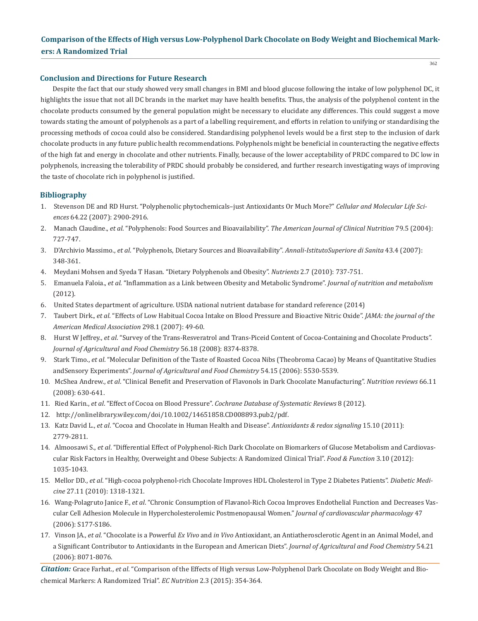362

#### **Conclusion and Directions for Future Research**

Despite the fact that our study showed very small changes in BMI and blood glucose following the intake of low polyphenol DC, it highlights the issue that not all DC brands in the market may have health benefits. Thus, the analysis of the polyphenol content in the chocolate products consumed by the general population might be necessary to elucidate any differences. This could suggest a move towards stating the amount of polyphenols as a part of a labelling requirement, and efforts in relation to unifying or standardising the processing methods of cocoa could also be considered. Standardising polyphenol levels would be a first step to the inclusion of dark chocolate products in any future public health recommendations. Polyphenols might be beneficial in counteracting the negative effects of the high fat and energy in chocolate and other nutrients. Finally, because of the lower acceptability of PRDC compared to DC low in polyphenols, increasing the tolerability of PRDC should probably be considered, and further research investigating ways of improving the taste of chocolate rich in polyphenol is justified.

#### **Bibliography**

- 1. Stevenson DE and RD Hurst. "Polyphenolic phytochemicals–just Antioxidants Or Much More?" *Cellular and Molecular Life Sci ences* 64.22 (2007): 2900-2916.
- 2. Manach Claudine., *et al*. "Polyphenols: Food Sources and Bioavailability". *The American Journal of Clinical Nutrition* 79.5 (2004): 727-747.
- 3. D'Archivio Massimo., *et al*. "Polyphenols, Dietary Sources and Bioavailability". *Annali-IstitutoSuperiore di Sanita* 43.4 (2007): 348-361.
- 4. Meydani Mohsen and Syeda T Hasan. "Dietary Polyphenols and Obesity". *Nutrients* 2.7 (2010): 737-751.
- 5. Emanuela Faloia., *et al*. "Inflammation as a Link between Obesity and Metabolic Syndrome". *Journal of nutrition and metabolism*  (2012).
- 6. United States department of agriculture. USDA national nutrient database for standard reference (2014)
- 7. Taubert Dirk., *et al*. "Effects of Low Habitual Cocoa Intake on Blood Pressure and Bioactive Nitric Oxide". *JAMA: the journal of the American Medical Association* 298.1 (2007): 49-60.
- 8. Hurst W Jeffrey., *et al*. "Survey of the Trans-Resveratrol and Trans-Piceid Content of Cocoa-Containing and Chocolate Products". *Journal of Agricultural and Food Chemistry* 56.18 (2008): 8374-8378.
- 9. Stark Timo., *et al*. "Molecular Definition of the Taste of Roasted Cocoa Nibs (Theobroma Cacao) by Means of Quantitative Studies andSensory Experiments". *Journal of Agricultural and Food Chemistry* 54.15 (2006): 5530-5539.
- 10. McShea Andrew., *et al*. "Clinical Benefit and Preservation of Flavonols in Dark Chocolate Manufacturing". *Nutrition reviews* 66.11 (2008): 630-641.
- 11. Ried Karin., *et al*. "Effect of Cocoa on Blood Pressure". *Cochrane Database of Systematic Reviews* 8 (2012).
- 12. http://onlinelibrary.wiley.com/doi/10.1002/14651858.CD008893.pub2/pdf.
- 13. Katz David L., *et al*. "Cocoa and Chocolate in Human Health and Disease". *Antioxidants & redox signaling* 15.10 (2011): 2779-2811.
- 14. Almoosawi S., *et al*. "Differential Effect of Polyphenol-Rich Dark Chocolate on Biomarkers of Glucose Metabolism and Cardiovas cular Risk Factors in Healthy, Overweight and Obese Subjects: A Randomized Clinical Trial". *Food & Function* 3.10 (2012): 1035-1043.
- 15. Mellor DD., *et al*. "High‐cocoa polyphenol‐rich Chocolate Improves HDL Cholesterol in Type 2 Diabetes Patients". *Diabetic Medi cine* 27.11 (2010): 1318-1321.
- 16. Wang-Polagruto Janice F., *et al*. "Chronic Consumption of Flavanol-Rich Cocoa Improves Endothelial Function and Decreases Vas cular Cell Adhesion Molecule in Hypercholesterolemic Postmenopausal Women." *Journal of cardiovascular pharmacology* 47 (2006): S177-S186.
- 17. Vinson JA., *et al*. "Chocolate is a Powerful *Ex Vivo* and *in Vivo* Antioxidant, an Antiatherosclerotic Agent in an Animal Model, and a Significant Contributor to Antioxidants in the European and American Diets". *Journal of Agricultural and Food Chemistry* 54.21 (2006): 8071-8076.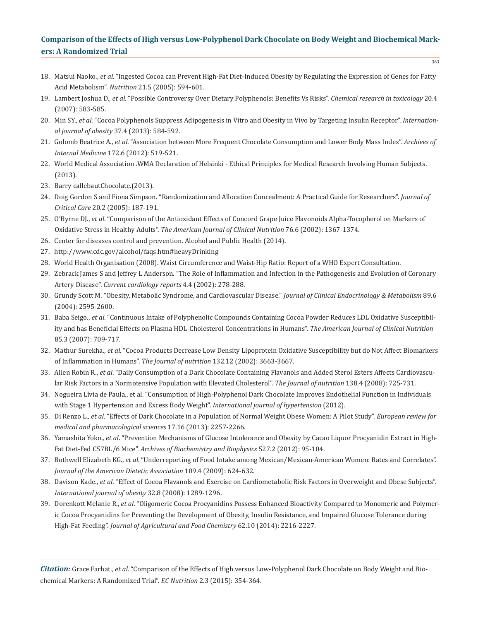363

- 18. Matsui Naoko., *et al*. "Ingested Cocoa can Prevent High-Fat Diet-Induced Obesity by Regulating the Expression of Genes for Fatty Acid Metabolism". *Nutrition* 21.5 (2005): 594-601.
- 19. Lambert Joshua D., *et al*. "Possible Controversy Over Dietary Polyphenols: Benefits Vs Risks". *Chemical research in toxicology* 20.4 (2007): 583-585.
- 20. Min SY., *et al*. "Cocoa Polyphenols Suppress Adipogenesis in Vitro and Obesity in Vivo by Targeting Insulin Receptor". *Internation al journal of obesity* 37.4 (2013): 584-592.
- 21. Golomb Beatrice A., *et al*. "Association between More Frequent Chocolate Consumption and Lower Body Mass Index". *Archives of Internal Medicine* 172.6 (2012): 519-521.
- 22. World Medical Association .WMA Declaration of Helsinki Ethical Principles for Medical Research Involving Human Subjects. (2013).
- 23. Barry callebautChocolate.(2013).
- 24. Doig Gordon S and Fiona Simpson. "Randomization and Allocation Concealment: A Practical Guide for Researchers". *Journal of Critical Care* 20.2 (2005): 187-191.
- 25. O'Byrne DJ., *et al*. "Comparison of the Antioxidant Effects of Concord Grape Juice Flavonoids Alpha-Tocopherol on Markers of Oxidative Stress in Healthy Adults". *The American Journal of Clinical Nutrition* 76.6 (2002): 1367-1374.
- 26. Center for diseases control and prevention. Alcohol and Public Health (2014).
- 27. http://www.cdc.gov/alcohol/faqs.htm#heavyDrinking
- 28. World Health Organisation (2008). Waist Circumference and Waist-Hip Ratio: Report of a WHO Expert Consultation.
- 29. Zebrack James S and Jeffrey L Anderson. "The Role of Inflammation and Infection in the Pathogenesis and Evolution of Coronary Artery Disease". *Current cardiology reports* 4.4 (2002): 278-288.
- 30. Grundy Scott M. "Obesity, Metabolic Syndrome, and Cardiovascular Disease." *Journal of Clinical Endocrinology & Metabolism* 89.6 (2004): 2595-2600.
- 31. Baba Seigo., *et al*. "Continuous Intake of Polyphenolic Compounds Containing Cocoa Powder Reduces LDL Oxidative Susceptibil ity and has Beneficial Effects on Plasma HDL-Cholesterol Concentrations in Humans". *The American Journal of Clinical Nutrition* 85.3 (2007): 709-717.
- 32. Mathur Surekha., *et al*. "Cocoa Products Decrease Low Density Lipoprotein Oxidative Susceptibility but do Not Affect Biomarkers of Inflammation in Humans". *The Journal of nutrition* 132.12 (2002): 3663-3667.
- 33. Allen Robin R., *et al*. "Daily Consumption of a Dark Chocolate Containing Flavanols and Added Sterol Esters Affects Cardiovascu lar Risk Factors in a Normotensive Population with Elevated Cholesterol". *The Journal of nutrition* 138.4 (2008): 725-731.
- 34. Nogueira Lívia de Paula., et al. "Consumption of High-Polyphenol Dark Chocolate Improves Endothelial Function in Individuals with Stage 1 Hypertension and Excess Body Weight". *International journal of hypertension* (2012).
- 35. Di Renzo L., *et al*. "Effects of Dark Chocolate in a Population of Normal Weight Obese Women: A Pilot Study". *European review for medical and pharmacological sciences* 17.16 (2013): 2257-2266.
- 36. Yamashita Yoko., *et al*. "Prevention Mechanisms of Glucose Intolerance and Obesity by Cacao Liquor Procyanidin Extract in High- Fat Diet-Fed C57BL/6 Mice". *Archives of Biochemistry and Biophysics* 527.2 (2012): 95-104.
- 37. Bothwell Elizabeth KG., *et al*. "Underreporting of Food Intake among Mexican/Mexican-American Women: Rates and Correlates". *Journal of the American Dietetic Association* 109.4 (2009): 624-632.
- 38. Davison Kade., *et al*. "Effect of Cocoa Flavanols and Exercise on Cardiometabolic Risk Factors in Overweight and Obese Subjects". *International journal of obesity* 32.8 (2008): 1289-1296.
- 39. Dorenkott Melanie R., *et al*. "Oligomeric Cocoa Procyanidins Possess Enhanced Bioactivity Compared to Monomeric and Polymer ic Cocoa Procyanidins for Preventing the Development of Obesity, Insulin Resistance, and Impaired Glucose Tolerance during High-Fat Feeding". *Journal of Agricultural and Food Chemistry* 62.10 (2014): 2216-2227.